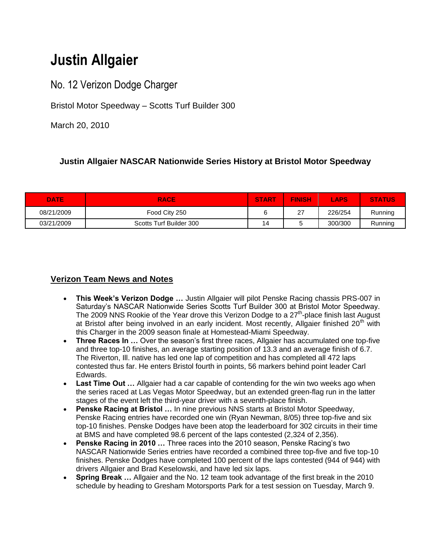# **Justin Allgaier**

No. 12 Verizon Dodge Charger

Bristol Motor Speedway – Scotts Turf Builder 300

March 20, 2010

## **Justin Allgaier NASCAR Nationwide Series History at Bristol Motor Speedway**

| <b>DATE</b> | <b>RACE</b>             | <b>START</b> | <b>FINISH</b> | <b>LAPS</b> | <b>STATUS</b> |
|-------------|-------------------------|--------------|---------------|-------------|---------------|
| 08/21/2009  | Food City 250           |              | דר<br>$\sim$  | 226/254     | Running       |
| 03/21/2009  | Scotts Turf Builder 300 | 14           |               | 300/300     | Running       |

## **Verizon Team News and Notes**

- **This Week's Verizon Dodge …** Justin Allgaier will pilot Penske Racing chassis PRS-007 in Saturday"s NASCAR Nationwide Series Scotts Turf Builder 300 at Bristol Motor Speedway. The 2009 NNS Rookie of the Year drove this Verizon Dodge to a  $27<sup>th</sup>$ -place finish last August at Bristol after being involved in an early incident. Most recently, Allgaier finished  $20<sup>th</sup>$  with this Charger in the 2009 season finale at Homestead-Miami Speedway.
- **Three Races In ...** Over the season's first three races, Allgaier has accumulated one top-five and three top-10 finishes, an average starting position of 13.3 and an average finish of 6.7. The Riverton, Ill. native has led one lap of competition and has completed all 472 laps contested thus far. He enters Bristol fourth in points, 56 markers behind point leader Carl Edwards.
- **Last Time Out …** Allgaier had a car capable of contending for the win two weeks ago when the series raced at Las Vegas Motor Speedway, but an extended green-flag run in the latter stages of the event left the third-year driver with a seventh-place finish.
- **Penske Racing at Bristol …** In nine previous NNS starts at Bristol Motor Speedway, Penske Racing entries have recorded one win (Ryan Newman, 8/05) three top-five and six top-10 finishes. Penske Dodges have been atop the leaderboard for 302 circuits in their time at BMS and have completed 98.6 percent of the laps contested (2,324 of 2,356).
- **Penske Racing in 2010 …** Three races into the 2010 season, Penske Racing"s two NASCAR Nationwide Series entries have recorded a combined three top-five and five top-10 finishes. Penske Dodges have completed 100 percent of the laps contested (944 of 944) with drivers Allgaier and Brad Keselowski, and have led six laps.
- **Spring Break …** Allgaier and the No. 12 team took advantage of the first break in the 2010 schedule by heading to Gresham Motorsports Park for a test session on Tuesday, March 9.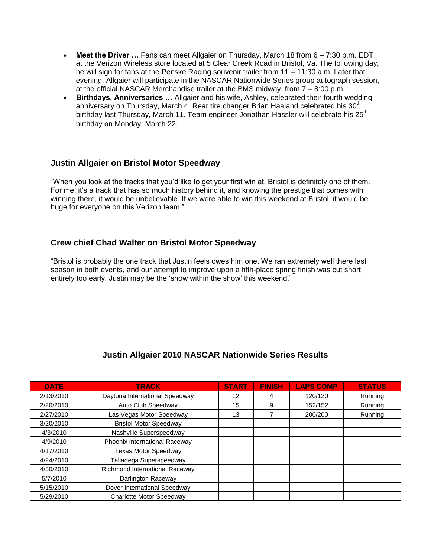- **Meet the Driver …** Fans can meet Allgaier on Thursday, March 18 from 6 7:30 p.m. EDT at the Verizon Wireless store located at 5 Clear Creek Road in Bristol, Va. The following day, he will sign for fans at the Penske Racing souvenir trailer from 11 – 11:30 a.m. Later that evening, Allgaier will participate in the NASCAR Nationwide Series group autograph session, at the official NASCAR Merchandise trailer at the BMS midway, from 7 – 8:00 p.m.
- **Birthdays, Anniversaries …** Allgaier and his wife, Ashley, celebrated their fourth wedding anniversary on Thursday, March 4. Rear tire changer Brian Haaland celebrated his 30<sup>th</sup> birthday last Thursday, March 11. Team engineer Jonathan Hassler will celebrate his 25<sup>th</sup> birthday on Monday, March 22.

#### **Justin Allgaier on Bristol Motor Speedway**

"When you look at the tracks that you"d like to get your first win at, Bristol is definitely one of them. For me, it's a track that has so much history behind it, and knowing the prestige that comes with winning there, it would be unbelievable. If we were able to win this weekend at Bristol, it would be huge for everyone on this Verizon team."

#### **Crew chief Chad Walter on Bristol Motor Speedway**

"Bristol is probably the one track that Justin feels owes him one. We ran extremely well there last season in both events, and our attempt to improve upon a fifth-place spring finish was cut short entirely too early. Justin may be the 'show within the show' this weekend."

## **Justin Allgaier 2010 NASCAR Nationwide Series Results**

| <b>DATE</b> | <b>TRACK</b>                   | <b>START</b> | <b>FINISH</b> | <b>LAPS COMP</b> | <b>STATUS</b> |
|-------------|--------------------------------|--------------|---------------|------------------|---------------|
| 2/13/2010   | Daytona International Speedway | 12           | 4             | 120/120          | Running       |
| 2/20/2010   | Auto Club Speedway             | 15           | 9             | 152/152          | Running       |
| 2/27/2010   | Las Vegas Motor Speedway       | 13           |               | 200/200          | Running       |
| 3/20/2010   | <b>Bristol Motor Speedway</b>  |              |               |                  |               |
| 4/3/2010    | Nashville Superspeedway        |              |               |                  |               |
| 4/9/2010    | Phoenix International Raceway  |              |               |                  |               |
| 4/17/2010   | <b>Texas Motor Speedway</b>    |              |               |                  |               |
| 4/24/2010   | Talladega Superspeedway        |              |               |                  |               |
| 4/30/2010   | Richmond International Raceway |              |               |                  |               |
| 5/7/2010    | Darlington Raceway             |              |               |                  |               |
| 5/15/2010   | Dover International Speedway   |              |               |                  |               |
| 5/29/2010   | Charlotte Motor Speedway       |              |               |                  |               |